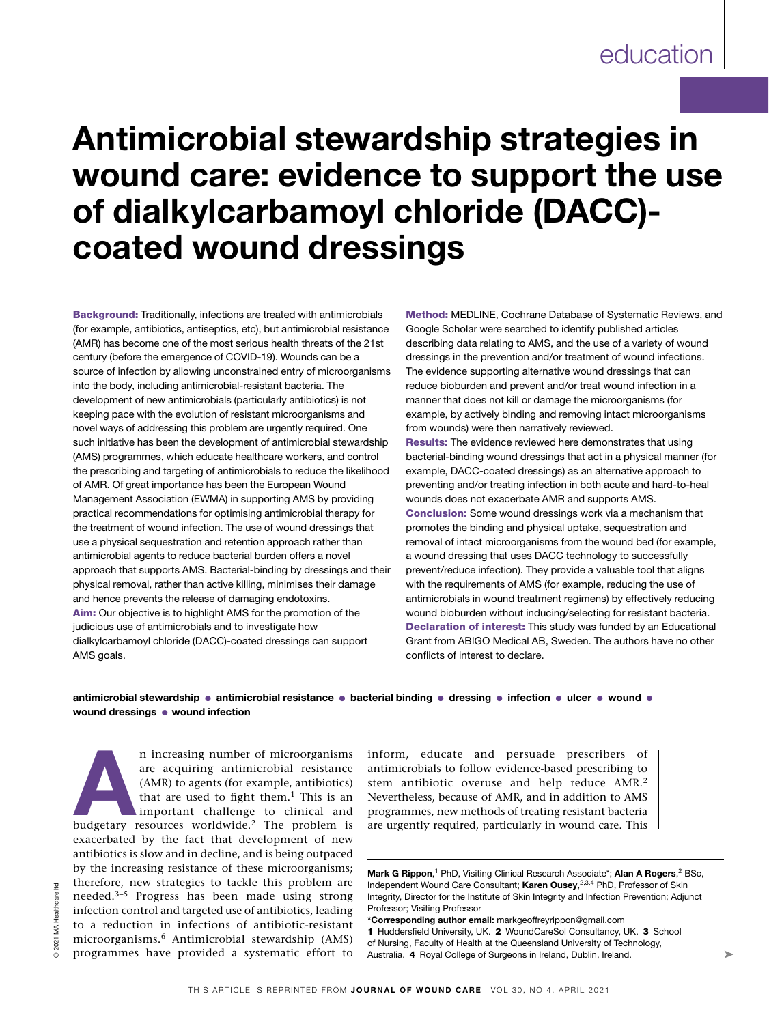# Antimicrobial stewardship strategies in wound care: evidence to support the use of dialkylcarbamoyl chloride (DACC) coated wound dressings

Background: Traditionally, infections are treated with antimicrobials (for example, antibiotics, antiseptics, etc), but antimicrobial resistance (AMR) has become one of the most serious health threats of the 21st century (before the emergence of COVID‑19). Wounds can be a source of infection by allowing unconstrained entry of microorganisms into the body, including antimicrobial-resistant bacteria. The development of new antimicrobials (particularly antibiotics) is not keeping pace with the evolution of resistant microorganisms and novel ways of addressing this problem are urgently required. One such initiative has been the development of antimicrobial stewardship (AMS) programmes, which educate healthcare workers, and control the prescribing and targeting of antimicrobials to reduce the likelihood of AMR. Of great importance has been the European Wound Management Association (EWMA) in supporting AMS by providing practical recommendations for optimising antimicrobial therapy for the treatment of wound infection. The use of wound dressings that use a physical sequestration and retention approach rather than antimicrobial agents to reduce bacterial burden offers a novel approach that supports AMS. Bacterial-binding by dressings and their physical removal, rather than active killing, minimises their damage and hence prevents the release of damaging endotoxins. Aim: Our objective is to highlight AMS for the promotion of the judicious use of antimicrobials and to investigate how dialkylcarbamoyl chloride (DACC)-coated dressings can support AMS goals.

Method: MEDLINE, Cochrane Database of Systematic Reviews, and Google Scholar were searched to identify published articles describing data relating to AMS, and the use of a variety of wound dressings in the prevention and/or treatment of wound infections. The evidence supporting alternative wound dressings that can reduce bioburden and prevent and/or treat wound infection in a manner that does not kill or damage the microorganisms (for example, by actively binding and removing intact microorganisms from wounds) were then narratively reviewed. Results: The evidence reviewed here demonstrates that using bacterial-binding wound dressings that act in a physical manner (for example, DACC-coated dressings) as an alternative approach to preventing and/or treating infection in both acute and hard-to-heal

wounds does not exacerbate AMR and supports AMS. Conclusion: Some wound dressings work via a mechanism that promotes the binding and physical uptake, sequestration and removal of intact microorganisms from the wound bed (for example, a wound dressing that uses DACC technology to successfully prevent/reduce infection). They provide a valuable tool that aligns with the requirements of AMS (for example, reducing the use of antimicrobials in wound treatment regimens) by effectively reducing wound bioburden without inducing/selecting for resistant bacteria. Declaration of interest: This study was funded by an Educational Grant from ABIGO Medical AB, Sweden. The authors have no other conflicts of interest to declare.

antimicrobial stewardship ● antimicrobial resistance ● bacterial binding ● dressing ● infection ● ulcer ● wound ● wound dressings ● wound infection

n increasing number of microorganisms<br>
are acquiring antimicrobial resistance<br>
(AMR) to agents (for example, antibiotics)<br>
that are used to fight them.<sup>1</sup> This is an<br>
important challenge to clinical and<br>
budgetary resource are acquiring antimicrobial resistance (AMR) to agents (for example, antibiotics) that are used to fight them. $<sup>1</sup>$  This is an</sup> important challenge to clinical and exacerbated by the fact that development of new antibiotics is slow and in decline, and is being outpaced by the increasing resistance of these microorganisms; therefore, new strategies to tackle this problem are needed.3–5 Progress has been made using strong infection control and targeted use of antibiotics, leading to a reduction in infections of antibiotic-resistant microorganisms.6 Antimicrobial stewardship (AMS) programmes have provided a systematic effort to

inform, educate and persuade prescribers of antimicrobials to follow evidence-based prescribing to stem antibiotic overuse and help reduce AMR.2 Nevertheless, because of AMR, and in addition to AMS programmes, new methods of treating resistant bacteria are urgently required, particularly in wound care. This

Mark G Rippon,<sup>1</sup> PhD, Visiting Clinical Research Associate\*; Alan A Rogers,<sup>2</sup> BSc, Independent Wound Care Consultant; Karen Ousey,<sup>2,3,4</sup> PhD, Professor of Skin Integrity, Director for the Institute of Skin Integrity and Infection Prevention; Adjunct Professor; Visiting Professor

\*Corresponding author email: markgeoffreyrippon@gmail.com

1 Huddersfield University, UK. 2 WoundCareSol Consultancy, UK. 3 School of Nursing, Faculty of Health at the Queensland University of Technology, Australia. 4 Royal College of Surgeons in Ireland, Dublin, Ireland.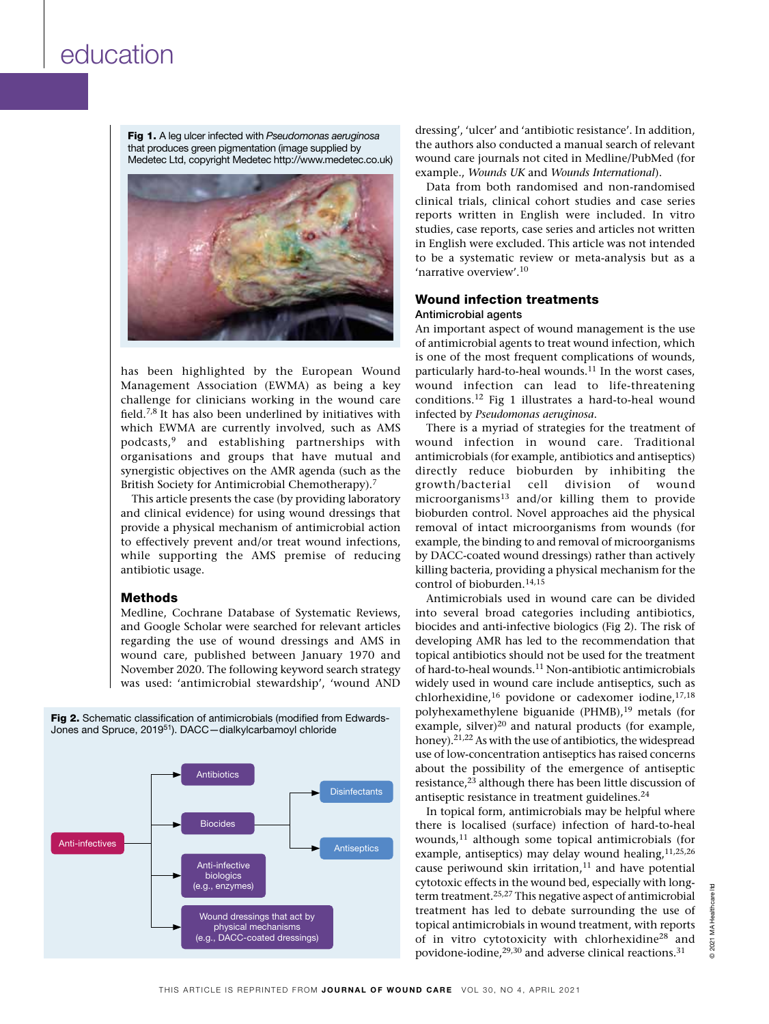Fig 1. A leg ulcer infected with *Pseudomonas aeruginosa* that produces green pigmentation (image supplied by Medetec Ltd, copyright Medetec http://www.medetec.co.uk)



has been highlighted by the European Wound Management Association (EWMA) as being a key challenge for clinicians working in the wound care field.7,8 It has also been underlined by initiatives with which EWMA are currently involved, such as AMS podcasts,9 and establishing partnerships with organisations and groups that have mutual and synergistic objectives on the AMR agenda (such as the British Society for Antimicrobial Chemotherapy).7

This article presents the case (by providing laboratory and clinical evidence) for using wound dressings that provide a physical mechanism of antimicrobial action to effectively prevent and/or treat wound infections, while supporting the AMS premise of reducing antibiotic usage.

### Methods

Medline, Cochrane Database of Systematic Reviews, and Google Scholar were searched for relevant articles regarding the use of wound dressings and AMS in wound care, published between January 1970 and November 2020. The following keyword search strategy was used: 'antimicrobial stewardship', 'wound AND

Fig 2. Schematic classification of antimicrobials (modified from Edwards-Jones and Spruce, 201951). DACC—dialkylcarbamoyl chloride



dressing', 'ulcer' and 'antibiotic resistance'. In addition, the authors also conducted a manual search of relevant wound care journals not cited in Medline/PubMed (for example., *Wounds UK* and *Wounds International*).

Data from both randomised and non-randomised clinical trials, clinical cohort studies and case series reports written in English were included. In vitro studies, case reports, case series and articles not written in English were excluded. This article was not intended to be a systematic review or meta-analysis but as a 'narrative overview'.10

### Wound infection treatments Antimicrobial agents

An important aspect of wound management is the use of antimicrobial agents to treat wound infection, which is one of the most frequent complications of wounds, particularly hard-to-heal wounds.<sup>11</sup> In the worst cases, wound infection can lead to life-threatening conditions.12 Fig 1 illustrates a hard-to-heal wound infected by *Pseudomonas aeruginosa*.

There is a myriad of strategies for the treatment of wound infection in wound care. Traditional antimicrobials (for example, antibiotics and antiseptics) directly reduce bioburden by inhibiting the growth/bacterial cell division of wound microorganisms<sup>13</sup> and/or killing them to provide bioburden control. Novel approaches aid the physical removal of intact microorganisms from wounds (for example, the binding to and removal of microorganisms by DACC-coated wound dressings) rather than actively killing bacteria, providing a physical mechanism for the control of bioburden.14,15

Antimicrobials used in wound care can be divided into several broad categories including antibiotics, biocides and anti-infective biologics (Fig 2). The risk of developing AMR has led to the recommendation that topical antibiotics should not be used for the treatment of hard-to-heal wounds.<sup>11</sup> Non-antibiotic antimicrobials widely used in wound care include antiseptics, such as chlorhexidine, $16$  povidone or cadexomer iodine, $17,18$ polyhexamethylene biguanide (PHMB),<sup>19</sup> metals (for example, silver)<sup>20</sup> and natural products (for example, honey).<sup>21,22</sup> As with the use of antibiotics, the widespread use of low-concentration antiseptics has raised concerns about the possibility of the emergence of antiseptic resistance,<sup>23</sup> although there has been little discussion of antiseptic resistance in treatment guidelines.<sup>24</sup>

In topical form, antimicrobials may be helpful where there is localised (surface) infection of hard-to-heal wounds, $11$  although some topical antimicrobials (for example, antiseptics) may delay wound healing, 11,25,26 cause periwound skin irritation, $11$  and have potential cytotoxic effects in the wound bed, especially with longterm treatment.25,27 This negative aspect of antimicrobial treatment has led to debate surrounding the use of topical antimicrobials in wound treatment, with reports of in vitro cytotoxicity with chlorhexidine28 and povidone-iodine,<sup>29,30</sup> and adverse clinical reactions.<sup>31</sup>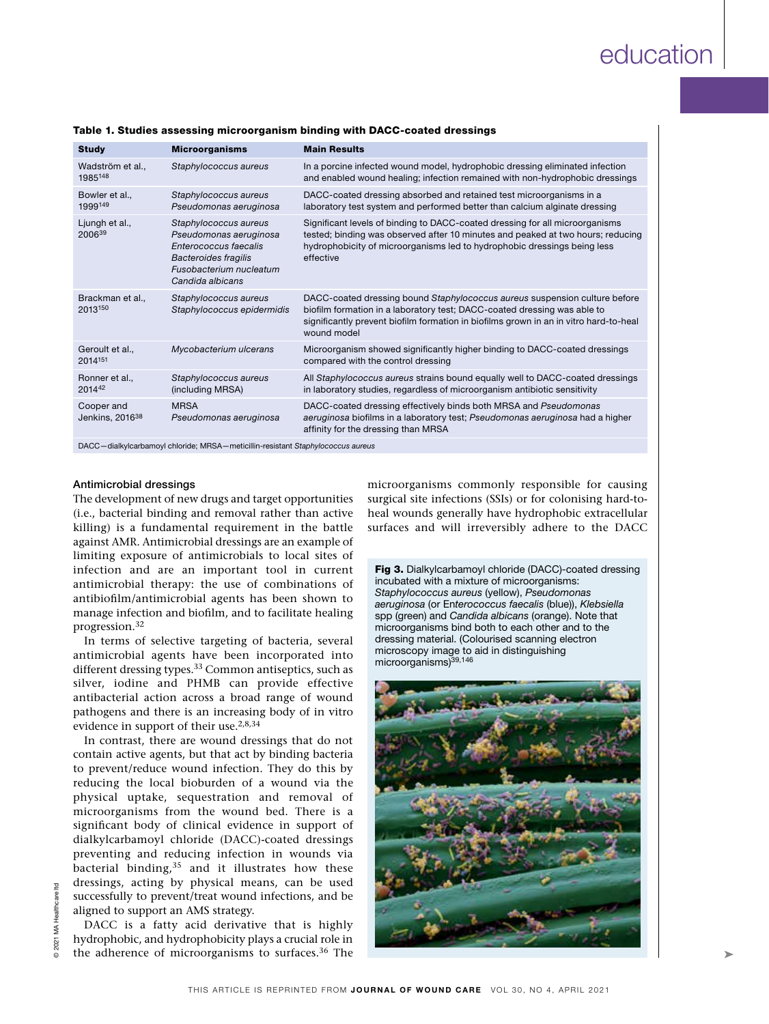| <b>Study</b>                              | <b>Microorganisms</b>                                                                                                                                  | <b>Main Results</b>                                                                                                                                                                                                                                            |
|-------------------------------------------|--------------------------------------------------------------------------------------------------------------------------------------------------------|----------------------------------------------------------------------------------------------------------------------------------------------------------------------------------------------------------------------------------------------------------------|
| Wadström et al.,<br>1985148               | Staphylococcus aureus                                                                                                                                  | In a porcine infected wound model, hydrophobic dressing eliminated infection<br>and enabled wound healing; infection remained with non-hydrophobic dressings                                                                                                   |
| Bowler et al.,<br>1999149                 | Staphylococcus aureus<br>Pseudomonas aeruginosa                                                                                                        | DACC-coated dressing absorbed and retained test microorganisms in a<br>laboratory test system and performed better than calcium alginate dressing                                                                                                              |
| Ljungh et al.,<br>200639                  | Staphylococcus aureus<br>Pseudomonas aeruginosa<br>Enterococcus faecalis<br><b>Bacteroides fragilis</b><br>Fusobacterium nucleatum<br>Candida albicans | Significant levels of binding to DACC-coated dressing for all microorganisms<br>tested; binding was observed after 10 minutes and peaked at two hours; reducing<br>hydrophobicity of microorganisms led to hydrophobic dressings being less<br>effective       |
| Brackman et al.,<br>2013150               | Staphylococcus aureus<br>Staphylococcus epidermidis                                                                                                    | DACC-coated dressing bound Staphylococcus aureus suspension culture before<br>biofilm formation in a laboratory test; DACC-coated dressing was able to<br>significantly prevent biofilm formation in biofilms grown in an in vitro hard-to-heal<br>wound model |
| Geroult et al.,<br>2014151                | Mycobacterium ulcerans                                                                                                                                 | Microorganism showed significantly higher binding to DACC-coated dressings<br>compared with the control dressing                                                                                                                                               |
| Ronner et al.,<br>201442                  | Staphylococcus aureus<br>(including MRSA)                                                                                                              | All Staphylococcus aureus strains bound equally well to DACC-coated dressings<br>in laboratory studies, regardless of microorganism antibiotic sensitivity                                                                                                     |
| Cooper and<br>Jenkins, 2016 <sup>38</sup> | <b>MRSA</b><br>Pseudomonas aeruginosa                                                                                                                  | DACC-coated dressing effectively binds both MRSA and Pseudomonas<br>aeruginosa biofilms in a laboratory test; Pseudomonas aeruginosa had a higher<br>affinity for the dressing than MRSA                                                                       |

### Table 1. Studies assessing microorganism binding with DACC-coated dressings

DACC—dialkylcarbamoyl chloride; MRSA—meticillin-resistant *Staphylococcus aureus*

### Antimicrobial dressings

The development of new drugs and target opportunities (i.e., bacterial binding and removal rather than active killing) is a fundamental requirement in the battle against AMR. Antimicrobial dressings are an example of limiting exposure of antimicrobials to local sites of infection and are an important tool in current antimicrobial therapy: the use of combinations of antibiofilm/antimicrobial agents has been shown to manage infection and biofilm, and to facilitate healing progression.32

In terms of selective targeting of bacteria, several antimicrobial agents have been incorporated into different dressing types.<sup>33</sup> Common antiseptics, such as silver, iodine and PHMB can provide effective antibacterial action across a broad range of wound pathogens and there is an increasing body of in vitro evidence in support of their use.2,8,34

In contrast, there are wound dressings that do not contain active agents, but that act by binding bacteria to prevent/reduce wound infection. They do this by reducing the local bioburden of a wound via the physical uptake, sequestration and removal of microorganisms from the wound bed. There is a significant body of clinical evidence in support of dialkylcarbamoyl chloride (DACC)-coated dressings preventing and reducing infection in wounds via bacterial binding, $35$  and it illustrates how these dressings, acting by physical means, can be used successfully to prevent/treat wound infections, and be aligned to support an AMS strategy.

DACC is a fatty acid derivative that is highly hydrophobic, and hydrophobicity plays a crucial role in the adherence of microorganisms to surfaces.<sup>36</sup> The

microorganisms commonly responsible for causing surgical site infections (SSIs) or for colonising hard-toheal wounds generally have hydrophobic extracellular surfaces and will irreversibly adhere to the DACC

Fig 3. Dialkylcarbamoyl chloride (DACC)-coated dressing incubated with a mixture of microorganisms: *Staphylococcus aureus* (yellow), *Pseudomonas aeruginosa* (or En*terococcus faecalis* (blue)), *Klebsiella* spp (green) and *Candida albicans* (orange). Note that microorganisms bind both to each other and to the dressing material. (Colourised scanning electron microscopy image to aid in distinguishing microorganisms)39,146

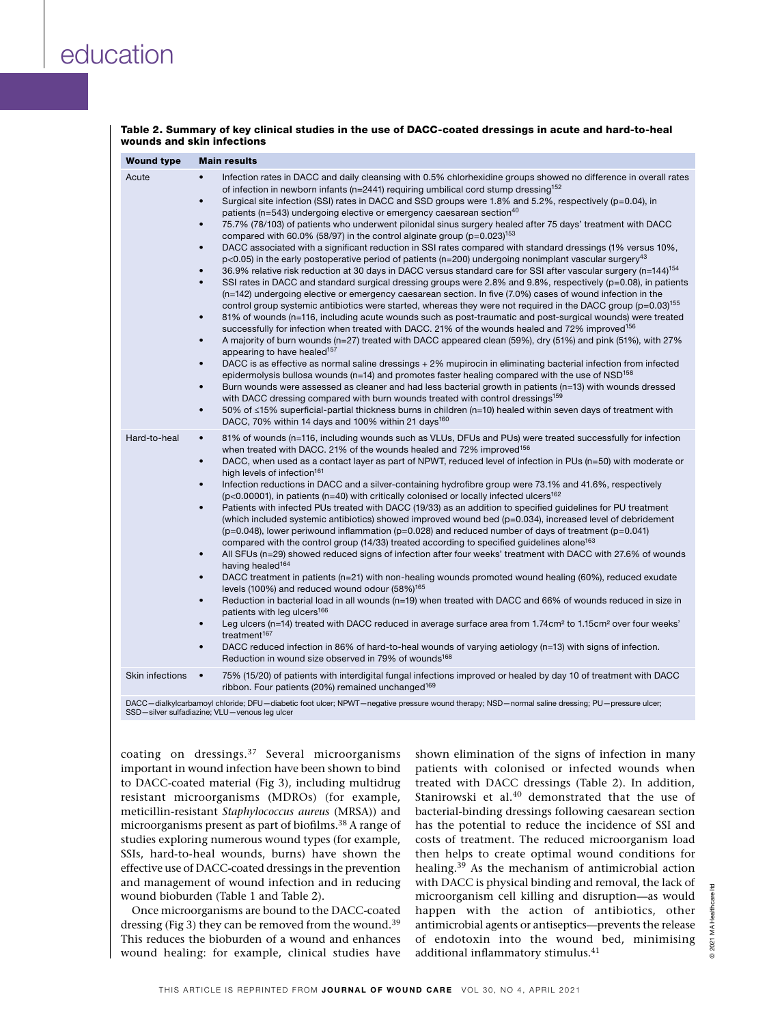| Table 2. Summary of key clinical studies in the use of DACC-coated dressings in acute and hard-to-heal |  |
|--------------------------------------------------------------------------------------------------------|--|
| wounds and skin infections                                                                             |  |

| <b>Wound type</b>      | <b>Main results</b>                                                                                                                                                                                                                                                                                                                                                                                                                                                                                                                                                                                                                                                                                                                                                                                                                                                                                                                                                                                                                                                                                                                                                                                                                                                                                                                                                                                                                                                                                                                                                                                                                                                                                                                                                                                                                                                                                                                                                                                                                                                                                                                                                                                                                                                                                                                                                                                                                                                                   |
|------------------------|---------------------------------------------------------------------------------------------------------------------------------------------------------------------------------------------------------------------------------------------------------------------------------------------------------------------------------------------------------------------------------------------------------------------------------------------------------------------------------------------------------------------------------------------------------------------------------------------------------------------------------------------------------------------------------------------------------------------------------------------------------------------------------------------------------------------------------------------------------------------------------------------------------------------------------------------------------------------------------------------------------------------------------------------------------------------------------------------------------------------------------------------------------------------------------------------------------------------------------------------------------------------------------------------------------------------------------------------------------------------------------------------------------------------------------------------------------------------------------------------------------------------------------------------------------------------------------------------------------------------------------------------------------------------------------------------------------------------------------------------------------------------------------------------------------------------------------------------------------------------------------------------------------------------------------------------------------------------------------------------------------------------------------------------------------------------------------------------------------------------------------------------------------------------------------------------------------------------------------------------------------------------------------------------------------------------------------------------------------------------------------------------------------------------------------------------------------------------------------------|
| Acute                  | Infection rates in DACC and daily cleansing with 0.5% chlorhexidine groups showed no difference in overall rates<br>of infection in newborn infants ( $n=2441$ ) requiring umbilical cord stump dressing <sup>152</sup><br>Surgical site infection (SSI) rates in DACC and SSD groups were 1.8% and 5.2%, respectively (p=0.04), in<br>٠<br>patients (n=543) undergoing elective or emergency caesarean section <sup>40</sup><br>75.7% (78/103) of patients who underwent pilonidal sinus surgery healed after 75 days' treatment with DACC<br>$\bullet$<br>compared with 60.0% (58/97) in the control alginate group ( $p=0.023$ ) <sup>153</sup><br>DACC associated with a significant reduction in SSI rates compared with standard dressings (1% versus 10%,<br>$\bullet$<br>p<0.05) in the early postoperative period of patients (n=200) undergoing nonimplant vascular surgery <sup>43</sup><br>36.9% relative risk reduction at 30 days in DACC versus standard care for SSI after vascular surgery (n=144) <sup>154</sup><br>SSI rates in DACC and standard surgical dressing groups were 2.8% and 9.8%, respectively (p=0.08), in patients<br>$\bullet$<br>(n=142) undergoing elective or emergency caesarean section. In five (7.0%) cases of wound infection in the<br>control group systemic antibiotics were started, whereas they were not required in the DACC group ( $p=0.03$ ) <sup>155</sup><br>81% of wounds (n=116, including acute wounds such as post-traumatic and post-surgical wounds) were treated<br>٠<br>successfully for infection when treated with DACC. 21% of the wounds healed and 72% improved <sup>156</sup><br>A majority of burn wounds (n=27) treated with DACC appeared clean (59%), dry (51%) and pink (51%), with 27%<br>$\bullet$<br>appearing to have healed <sup>157</sup><br>DACC is as effective as normal saline dressings + 2% mupirocin in eliminating bacterial infection from infected<br>٠<br>epidermolysis bullosa wounds ( $n=14$ ) and promotes faster healing compared with the use of NSD <sup>158</sup><br>Burn wounds were assessed as cleaner and had less bacterial growth in patients (n=13) with wounds dressed<br>$\bullet$<br>with DACC dressing compared with burn wounds treated with control dressings <sup>159</sup><br>50% of ≤15% superficial-partial thickness burns in children (n=10) healed within seven days of treatment with<br>٠<br>DACC, 70% within 14 days and 100% within 21 days <sup>160</sup> |
| Hard-to-heal           | 81% of wounds (n=116, including wounds such as VLUs, DFUs and PUs) were treated successfully for infection<br>$\bullet$<br>when treated with DACC. 21% of the wounds healed and 72% improved <sup>156</sup><br>DACC, when used as a contact layer as part of NPWT, reduced level of infection in PUs (n=50) with moderate or<br>٠<br>high levels of infection <sup>161</sup><br>Infection reductions in DACC and a silver-containing hydrofibre group were 73.1% and 41.6%, respectively<br>٠<br>( $p<0.00001$ ), in patients ( $n=40$ ) with critically colonised or locally infected ulcers <sup>162</sup><br>Patients with infected PUs treated with DACC (19/33) as an addition to specified quidelines for PU treatment<br>٠<br>(which included systemic antibiotics) showed improved wound bed ( $p=0.034$ ), increased level of debridement<br>$(p=0.048)$ , lower periwound inflammation $(p=0.028)$ and reduced number of days of treatment $(p=0.041)$<br>compared with the control group (14/33) treated according to specified guidelines alone <sup>163</sup><br>All SFUs (n=29) showed reduced signs of infection after four weeks' treatment with DACC with 27.6% of wounds<br>$\bullet$<br>having healed <sup>164</sup><br>DACC treatment in patients (n=21) with non-healing wounds promoted wound healing (60%), reduced exudate<br>levels (100%) and reduced wound odour (58%) <sup>165</sup><br>Reduction in bacterial load in all wounds (n=19) when treated with DACC and 66% of wounds reduced in size in<br>$\bullet$<br>patients with leg ulcers <sup>166</sup><br>Leg ulcers ( $n=14$ ) treated with DACC reduced in average surface area from 1.74cm <sup>2</sup> to 1.15cm <sup>2</sup> over four weeks'<br>٠<br>treatment <sup>167</sup><br>DACC reduced infection in 86% of hard-to-heal wounds of varying aetiology (n=13) with signs of infection.<br>٠<br>Reduction in wound size observed in 79% of wounds <sup>168</sup>                                                                                                                                                                                                                                                                                                                                                                                                                                                                                                                           |
| <b>Skin infections</b> | 75% (15/20) of patients with interdigital fungal infections improved or healed by day 10 of treatment with DACC<br>$\bullet$<br>ribbon. Four patients (20%) remained unchanged <sup>169</sup>                                                                                                                                                                                                                                                                                                                                                                                                                                                                                                                                                                                                                                                                                                                                                                                                                                                                                                                                                                                                                                                                                                                                                                                                                                                                                                                                                                                                                                                                                                                                                                                                                                                                                                                                                                                                                                                                                                                                                                                                                                                                                                                                                                                                                                                                                         |
|                        |                                                                                                                                                                                                                                                                                                                                                                                                                                                                                                                                                                                                                                                                                                                                                                                                                                                                                                                                                                                                                                                                                                                                                                                                                                                                                                                                                                                                                                                                                                                                                                                                                                                                                                                                                                                                                                                                                                                                                                                                                                                                                                                                                                                                                                                                                                                                                                                                                                                                                       |

DACC—dialkylcarbamoyl chloride; DFU—diabetic foot ulcer; NPWT—negative pressure wound therapy; NSD—normal saline dressing; PU—pressure ulcer; SSD—silver sulfadiazine; VLU—venous leg ulcer

coating on dressings.37 Several microorganisms important in wound infection have been shown to bind to DACC-coated material (Fig 3), including multidrug resistant microorganisms (MDROs) (for example, meticillin-resistant *Staphylococcus aureus* (MRSA)) and microorganisms present as part of biofilms.38 A range of studies exploring numerous wound types (for example, SSIs, hard-to-heal wounds, burns) have shown the effective use of DACC-coated dressings in the prevention and management of wound infection and in reducing wound bioburden (Table 1 and Table 2).

Once microorganisms are bound to the DACC-coated dressing (Fig 3) they can be removed from the wound.<sup>39</sup> This reduces the bioburden of a wound and enhances wound healing: for example, clinical studies have

shown elimination of the signs of infection in many patients with colonised or infected wounds when treated with DACC dressings (Table 2). In addition, Stanirowski et al.<sup>40</sup> demonstrated that the use of bacterial-binding dressings following caesarean section has the potential to reduce the incidence of SSI and costs of treatment. The reduced microorganism load then helps to create optimal wound conditions for healing.39 As the mechanism of antimicrobial action with DACC is physical binding and removal, the lack of microorganism cell killing and disruption—as would happen with the action of antibiotics, other antimicrobial agents or antiseptics—prevents the release of endotoxin into the wound bed, minimising additional inflammatory stimulus.<sup>41</sup>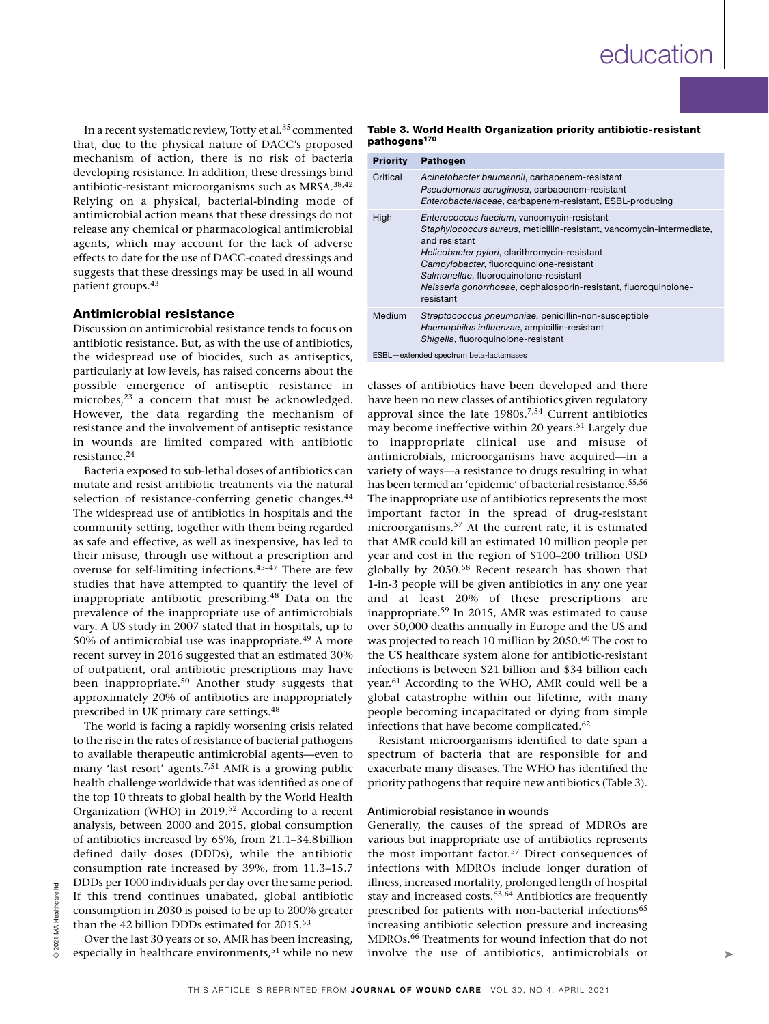In a recent systematic review, Totty et al.<sup>35</sup> commented that, due to the physical nature of DACC's proposed mechanism of action, there is no risk of bacteria developing resistance. In addition, these dressings bind antibiotic-resistant microorganisms such as MRSA.38,42 Relying on a physical, bacterial-binding mode of antimicrobial action means that these dressings do not release any chemical or pharmacological antimicrobial agents, which may account for the lack of adverse effects to date for the use of DACC-coated dressings and suggests that these dressings may be used in all wound patient groups.43

### Antimicrobial resistance

Discussion on antimicrobial resistance tends to focus on antibiotic resistance. But, as with the use of antibiotics, the widespread use of biocides, such as antiseptics, particularly at low levels, has raised concerns about the possible emergence of antiseptic resistance in microbes,<sup>23</sup> a concern that must be acknowledged. However, the data regarding the mechanism of resistance and the involvement of antiseptic resistance in wounds are limited compared with antibiotic resistance.24

Bacteria exposed to sub-lethal doses of antibiotics can mutate and resist antibiotic treatments via the natural selection of resistance-conferring genetic changes.<sup>44</sup> The widespread use of antibiotics in hospitals and the community setting, together with them being regarded as safe and effective, as well as inexpensive, has led to their misuse, through use without a prescription and overuse for self-limiting infections.45–47 There are few studies that have attempted to quantify the level of inappropriate antibiotic prescribing.48 Data on the prevalence of the inappropriate use of antimicrobials vary. A US study in 2007 stated that in hospitals, up to 50% of antimicrobial use was inappropriate.<sup>49</sup> A more recent survey in 2016 suggested that an estimated 30% of outpatient, oral antibiotic prescriptions may have been inappropriate.50 Another study suggests that approximately 20% of antibiotics are inappropriately prescribed in UK primary care settings.48

The world is facing a rapidly worsening crisis related to the rise in the rates of resistance of bacterial pathogens to available therapeutic antimicrobial agents—even to many 'last resort' agents.7,51 AMR is a growing public health challenge worldwide that was identified as one of the top 10 threats to global health by the World Health Organization (WHO) in 2019.52 According to a recent analysis, between 2000 and 2015, global consumption of antibiotics increased by 65%, from 21.1–34.8billion defined daily doses (DDDs), while the antibiotic consumption rate increased by 39%, from 11.3–15.7 DDDs per 1000 individuals per day over the same period. If this trend continues unabated, global antibiotic consumption in 2030 is poised to be up to 200% greater than the 42 billion DDDs estimated for 2015.<sup>53</sup>

### Table 3. World Health Organization priority antibiotic-resistant pathogens<sup>170</sup>

| <b>Priority</b>                        | <b>Pathogen</b>                                                                                                                                                                                                                                                                                                                                              |  |
|----------------------------------------|--------------------------------------------------------------------------------------------------------------------------------------------------------------------------------------------------------------------------------------------------------------------------------------------------------------------------------------------------------------|--|
| Critical                               | Acinetobacter baumannii, carbapenem-resistant<br>Pseudomonas aeruginosa, carbapenem-resistant<br>Enterobacteriaceae, carbapenem-resistant, ESBL-producing                                                                                                                                                                                                    |  |
| High                                   | Enterococcus faecium, vancomycin-resistant<br>Staphylococcus aureus, meticillin-resistant, vancomycin-intermediate,<br>and resistant<br>Helicobacter pylori, clarithromycin-resistant<br>Campylobacter, fluoroquinolone-resistant<br>Salmonellae, fluoroquinolone-resistant<br>Neisseria gonorrhoeae, cephalosporin-resistant, fluoroquinolone-<br>resistant |  |
| Medium                                 | Streptococcus pneumoniae, penicillin-non-susceptible<br>Haemophilus influenzae, ampicillin-resistant<br>Shigella, fluoroquinolone-resistant                                                                                                                                                                                                                  |  |
| ESBL-extended spectrum beta-lactamases |                                                                                                                                                                                                                                                                                                                                                              |  |

classes of antibiotics have been developed and there have been no new classes of antibiotics given regulatory approval since the late 1980s.<sup>7,54</sup> Current antibiotics may become ineffective within 20 years.51 Largely due to inappropriate clinical use and misuse of antimicrobials, microorganisms have acquired—in a variety of ways—a resistance to drugs resulting in what has been termed an 'epidemic' of bacterial resistance.<sup>55,56</sup> The inappropriate use of antibiotics represents the most important factor in the spread of drug-resistant microorganisms.57 At the current rate, it is estimated that AMR could kill an estimated 10 million people per year and cost in the region of \$100–200 trillion USD globally by 2050.58 Recent research has shown that 1-in-3 people will be given antibiotics in any one year and at least 20% of these prescriptions are inappropriate.59 In 2015, AMR was estimated to cause over 50,000 deaths annually in Europe and the US and was projected to reach 10 million by 2050.<sup>60</sup> The cost to the US healthcare system alone for antibiotic-resistant infections is between \$21 billion and \$34 billion each year.61 According to the WHO, AMR could well be a global catastrophe within our lifetime, with many people becoming incapacitated or dying from simple infections that have become complicated.<sup>62</sup>

Resistant microorganisms identified to date span a spectrum of bacteria that are responsible for and exacerbate many diseases. The WHO has identified the priority pathogens that require new antibiotics (Table 3).

#### Antimicrobial resistance in wounds

Generally, the causes of the spread of MDROs are various but inappropriate use of antibiotics represents the most important factor.57 Direct consequences of infections with MDROs include longer duration of illness, increased mortality, prolonged length of hospital stay and increased costs.<sup>63,64</sup> Antibiotics are frequently prescribed for patients with non-bacterial infections<sup>65</sup> increasing antibiotic selection pressure and increasing MDROs.66 Treatments for wound infection that do not involve the use of antibiotics, antimicrobials or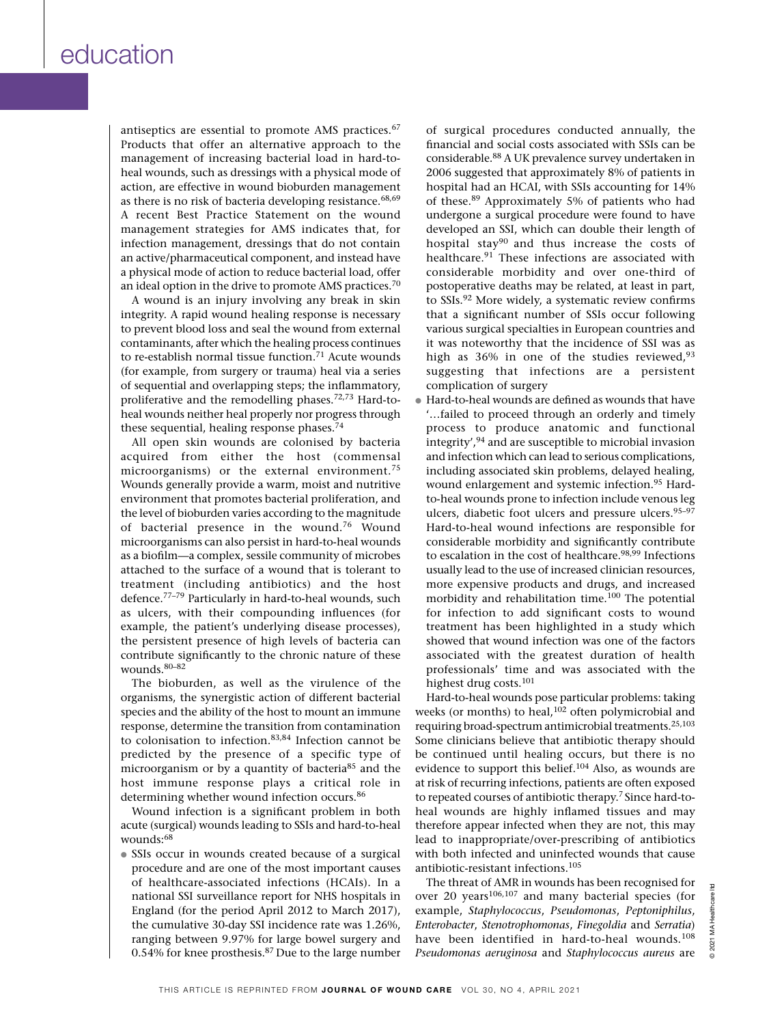antiseptics are essential to promote AMS practices.<sup>67</sup> Products that offer an alternative approach to the management of increasing bacterial load in hard-toheal wounds, such as dressings with a physical mode of action, are effective in wound bioburden management as there is no risk of bacteria developing resistance.  $68,69$ A recent Best Practice Statement on the wound management strategies for AMS indicates that, for infection management, dressings that do not contain an active/pharmaceutical component, and instead have a physical mode of action to reduce bacterial load, offer an ideal option in the drive to promote AMS practices.70

A wound is an injury involving any break in skin integrity. A rapid wound healing response is necessary to prevent blood loss and seal the wound from external contaminants, after which the healing process continues to re-establish normal tissue function.71 Acute wounds (for example, from surgery or trauma) heal via a series of sequential and overlapping steps; the inflammatory, proliferative and the remodelling phases.72,73 Hard-toheal wounds neither heal properly nor progress through these sequential, healing response phases.74

All open skin wounds are colonised by bacteria acquired from either the host (commensal microorganisms) or the external environment.75 Wounds generally provide a warm, moist and nutritive environment that promotes bacterial proliferation, and the level of bioburden varies according to the magnitude of bacterial presence in the wound.76 Wound microorganisms can also persist in hard-to-heal wounds as a biofilm—a complex, sessile community of microbes attached to the surface of a wound that is tolerant to treatment (including antibiotics) and the host defence.77–79 Particularly in hard-to-heal wounds, such as ulcers, with their compounding influences (for example, the patient's underlying disease processes), the persistent presence of high levels of bacteria can contribute significantly to the chronic nature of these wounds.80–82

The bioburden, as well as the virulence of the organisms, the synergistic action of different bacterial species and the ability of the host to mount an immune response, determine the transition from contamination to colonisation to infection.83,84 Infection cannot be predicted by the presence of a specific type of microorganism or by a quantity of bacteria<sup>85</sup> and the host immune response plays a critical role in determining whether wound infection occurs.<sup>86</sup>

Wound infection is a significant problem in both acute (surgical) wounds leading to SSIs and hard-to-heal wounds:68

• SSIs occur in wounds created because of a surgical procedure and are one of the most important causes of healthcare-associated infections (HCAIs). In a national SSI surveillance report for NHS hospitals in England (for the period April 2012 to March 2017), the cumulative 30-day SSI incidence rate was 1.26%, ranging between 9.97% for large bowel surgery and 0.54% for knee prosthesis.87 Due to the large number

of surgical procedures conducted annually, the financial and social costs associated with SSIs can be considerable.88 A UK prevalence survey undertaken in 2006 suggested that approximately 8% of patients in hospital had an HCAI, with SSIs accounting for 14% of these.89 Approximately 5% of patients who had undergone a surgical procedure were found to have developed an SSI, which can double their length of hospital stay90 and thus increase the costs of healthcare.91 These infections are associated with considerable morbidity and over one-third of postoperative deaths may be related, at least in part, to SSIs.92 More widely, a systematic review confirms that a significant number of SSIs occur following various surgical specialties in European countries and it was noteworthy that the incidence of SSI was as high as 36% in one of the studies reviewed, 93 suggesting that infections are a persistent complication of surgery

● Hard-to-heal wounds are defined as wounds that have '…failed to proceed through an orderly and timely process to produce anatomic and functional integrity',94 and are susceptible to microbial invasion and infection which can lead to serious complications, including associated skin problems, delayed healing, wound enlargement and systemic infection.95 Hardto-heal wounds prone to infection include venous leg ulcers, diabetic foot ulcers and pressure ulcers.<sup>95-97</sup> Hard-to-heal wound infections are responsible for considerable morbidity and significantly contribute to escalation in the cost of healthcare.<sup>98,99</sup> Infections usually lead to the use of increased clinician resources, more expensive products and drugs, and increased morbidity and rehabilitation time.100 The potential for infection to add significant costs to wound treatment has been highlighted in a study which showed that wound infection was one of the factors associated with the greatest duration of health professionals' time and was associated with the highest drug costs.101

Hard-to-heal wounds pose particular problems: taking weeks (or months) to heal,<sup>102</sup> often polymicrobial and requiring broad-spectrum antimicrobial treatments.25,103 Some clinicians believe that antibiotic therapy should be continued until healing occurs, but there is no evidence to support this belief.104 Also, as wounds are at risk of recurring infections, patients are often exposed to repeated courses of antibiotic therapy.<sup>7</sup> Since hard-toheal wounds are highly inflamed tissues and may therefore appear infected when they are not, this may lead to inappropriate/over-prescribing of antibiotics with both infected and uninfected wounds that cause antibiotic-resistant infections.105

The threat of AMR in wounds has been recognised for over 20 years106,107 and many bacterial species (for example, *Staphylococcus*, *Pseudomonas*, *Peptoniphilus*, *Enterobacter*, *Stenotrophomonas*, *Finegoldia* and *Serratia*) have been identified in hard-to-heal wounds.108 *Pseudomonas aeruginosa* and *Staphylococcus aureus* are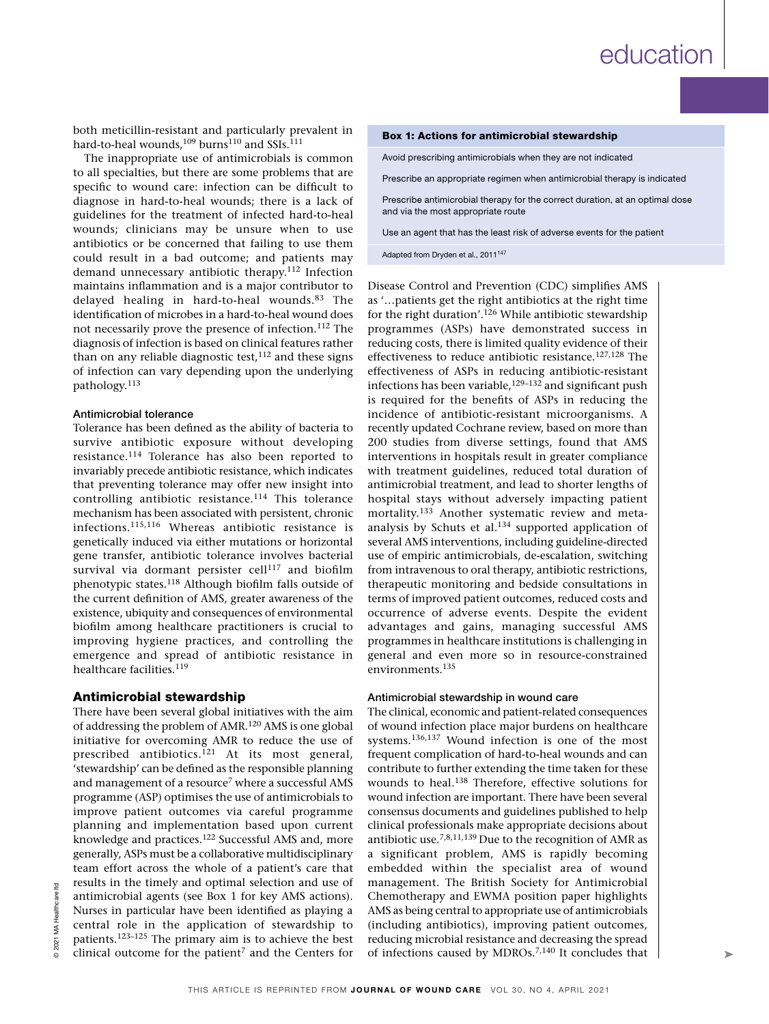both meticillin-resistant and particularly prevalent in hard-to-heal wounds,<sup>109</sup> burns<sup>110</sup> and SSIs.<sup>111</sup>

The inappropriate use of antimicrobials is common to all specialties, but there are some problems that are specific to wound care: infection can be difficult to diagnose in hard-to-heal wounds; there is a lack of guidelines for the treatment of infected hard-to-heal wounds; clinicians may be unsure when to use antibiotics or be concerned that failing to use them could result in a bad outcome; and patients may demand unnecessary antibiotic therapy.112 Infection maintains inflammation and is a major contributor to delayed healing in hard-to-heal wounds.<sup>83</sup> The identification of microbes in a hard-to-heal wound does not necessarily prove the presence of infection.112 The diagnosis of infection is based on clinical features rather than on any reliable diagnostic test, $112$  and these signs of infection can vary depending upon the underlying pathology.113

### Antimicrobial tolerance

Tolerance has been defined as the ability of bacteria to survive antibiotic exposure without developing resistance.114 Tolerance has also been reported to invariably precede antibiotic resistance, which indicates that preventing tolerance may offer new insight into controlling antibiotic resistance.<sup>114</sup> This tolerance mechanism has been associated with persistent, chronic infections.115,116 Whereas antibiotic resistance is genetically induced via either mutations or horizontal gene transfer, antibiotic tolerance involves bacterial survival via dormant persister  $cell^{117}$  and biofilm phenotypic states.118 Although biofilm falls outside of the current definition of AMS, greater awareness of the existence, ubiquity and consequences of environmental biofilm among healthcare practitioners is crucial to improving hygiene practices, and controlling the emergence and spread of antibiotic resistance in healthcare facilities.<sup>119</sup>

## Antimicrobial stewardship

There have been several global initiatives with the aim of addressing the problem of AMR.120 AMS is one global initiative for overcoming AMR to reduce the use of prescribed antibiotics.121 At its most general, 'stewardship' can be defined as the responsible planning and management of a resource<sup>7</sup> where a successful AMS programme (ASP) optimises the use of antimicrobials to improve patient outcomes via careful programme planning and implementation based upon current knowledge and practices.122 Successful AMS and, more generally, ASPs must be a collaborative multidisciplinary team effort across the whole of a patient's care that results in the timely and optimal selection and use of antimicrobial agents (see Box 1 for key AMS actions). Nurses in particular have been identified as playing a central role in the application of stewardship to patients.123–125 The primary aim is to achieve the best clinical outcome for the patient<sup>7</sup> and the Centers for

Avoid prescribing antimicrobials when they are not indicated

Prescribe an appropriate regimen when antimicrobial therapy is indicated

Prescribe antimicrobial therapy for the correct duration, at an optimal dose and via the most appropriate route

Use an agent that has the least risk of adverse events for the patient

Adapted from Dryden et al., 2011<sup>147</sup>

Disease Control and Prevention (CDC) simplifies AMS as '…patients get the right antibiotics at the right time for the right duration'.126 While antibiotic stewardship programmes (ASPs) have demonstrated success in reducing costs, there is limited quality evidence of their effectiveness to reduce antibiotic resistance.127,128 The effectiveness of ASPs in reducing antibiotic-resistant infections has been variable,<sup>129–132</sup> and significant push is required for the benefits of ASPs in reducing the incidence of antibiotic-resistant microorganisms. A recently updated Cochrane review, based on more than 200 studies from diverse settings, found that AMS interventions in hospitals result in greater compliance with treatment guidelines, reduced total duration of antimicrobial treatment, and lead to shorter lengths of hospital stays without adversely impacting patient mortality.133 Another systematic review and metaanalysis by Schuts et al.134 supported application of several AMS interventions, including guideline-directed use of empiric antimicrobials, de-escalation, switching from intravenous to oral therapy, antibiotic restrictions, therapeutic monitoring and bedside consultations in terms of improved patient outcomes, reduced costs and occurrence of adverse events. Despite the evident advantages and gains, managing successful AMS programmes in healthcare institutions is challenging in general and even more so in resource-constrained environments.<sup>135</sup>

#### Antimicrobial stewardship in wound care

The clinical, economic and patient-related consequences of wound infection place major burdens on healthcare systems.136,137 Wound infection is one of the most frequent complication of hard-to-heal wounds and can contribute to further extending the time taken for these wounds to heal.138 Therefore, effective solutions for wound infection are important. There have been several consensus documents and guidelines published to help clinical professionals make appropriate decisions about antibiotic use.<sup>7,8,11,139</sup> Due to the recognition of AMR as a significant problem, AMS is rapidly becoming embedded within the specialist area of wound management. The British Society for Antimicrobial Chemotherapy and EWMA position paper highlights AMS as being central to appropriate use of antimicrobials (including antibiotics), improving patient outcomes, reducing microbial resistance and decreasing the spread of infections caused by MDROs.7,140 It concludes that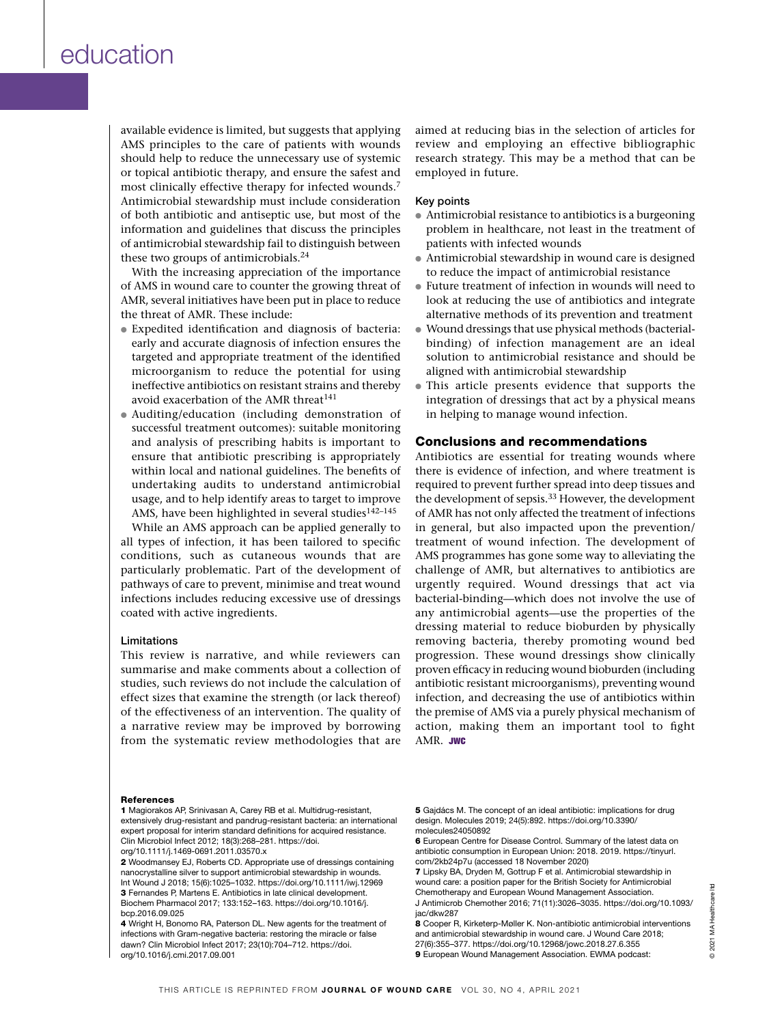available evidence is limited, but suggests that applying AMS principles to the care of patients with wounds should help to reduce the unnecessary use of systemic or topical antibiotic therapy, and ensure the safest and most clinically effective therapy for infected wounds.7 Antimicrobial stewardship must include consideration of both antibiotic and antiseptic use, but most of the information and guidelines that discuss the principles of antimicrobial stewardship fail to distinguish between these two groups of antimicrobials. $24$ 

With the increasing appreciation of the importance of AMS in wound care to counter the growing threat of AMR, several initiatives have been put in place to reduce the threat of AMR. These include:

- Expedited identification and diagnosis of bacteria: early and accurate diagnosis of infection ensures the targeted and appropriate treatment of the identified microorganism to reduce the potential for using ineffective antibiotics on resistant strains and thereby avoid exacerbation of the AMR threat<sup>141</sup>
- Auditing/education (including demonstration of successful treatment outcomes): suitable monitoring and analysis of prescribing habits is important to ensure that antibiotic prescribing is appropriately within local and national guidelines. The benefits of undertaking audits to understand antimicrobial usage, and to help identify areas to target to improve AMS, have been highlighted in several studies<sup>142-145</sup>

While an AMS approach can be applied generally to all types of infection, it has been tailored to specific conditions, such as cutaneous wounds that are particularly problematic. Part of the development of pathways of care to prevent, minimise and treat wound infections includes reducing excessive use of dressings coated with active ingredients.

#### Limitations

This review is narrative, and while reviewers can summarise and make comments about a collection of studies, such reviews do not include the calculation of effect sizes that examine the strength (or lack thereof) of the effectiveness of an intervention. The quality of a narrative review may be improved by borrowing from the systematic review methodologies that are aimed at reducing bias in the selection of articles for review and employing an effective bibliographic research strategy. This may be a method that can be employed in future.

### Key points

- Antimicrobial resistance to antibiotics is a burgeoning problem in healthcare, not least in the treatment of patients with infected wounds
- Antimicrobial stewardship in wound care is designed to reduce the impact of antimicrobial resistance
- Future treatment of infection in wounds will need to look at reducing the use of antibiotics and integrate alternative methods of its prevention and treatment
- Wound dressings that use physical methods (bacterialbinding) of infection management are an ideal solution to antimicrobial resistance and should be aligned with antimicrobial stewardship
- This article presents evidence that supports the integration of dressings that act by a physical means in helping to manage wound infection.

# Conclusions and recommendations

Antibiotics are essential for treating wounds where there is evidence of infection, and where treatment is required to prevent further spread into deep tissues and the development of sepsis.<sup>33</sup> However, the development of AMR has not only affected the treatment of infections in general, but also impacted upon the prevention/ treatment of wound infection. The development of AMS programmes has gone some way to alleviating the challenge of AMR, but alternatives to antibiotics are urgently required. Wound dressings that act via bacterial-binding—which does not involve the use of any antimicrobial agents—use the properties of the dressing material to reduce bioburden by physically removing bacteria, thereby promoting wound bed progression. These wound dressings show clinically proven efficacy in reducing wound bioburden (including antibiotic resistant microorganisms), preventing wound infection, and decreasing the use of antibiotics within the premise of AMS via a purely physical mechanism of action, making them an important tool to fight AMR. JWC

#### References

1 Magiorakos AP, Srinivasan A, Carey RB et al. Multidrug-resistant, extensively drug-resistant and pandrug-resistant bacteria: an international expert proposal for interim standard definitions for acquired resistance. Clin Microbiol Infect 2012; 18(3):268–281. https://doi. org/10.1111/j.1469-0691.2011.03570.x

2 Woodmansey EJ, Roberts CD. Appropriate use of dressings containing nanocrystalline silver to support antimicrobial stewardship in wounds. Int Wound J 2018; 15(6):1025–1032. https://doi.org/10.1111/iwj.12969 3 Fernandes P, Martens E. Antibiotics in late clinical development. Biochem Pharmacol 2017; 133:152–163. https://doi.org/10.1016/j. bcp.2016.09.025

4 Wright H, Bonomo RA, Paterson DL. New agents for the treatment of infections with Gram-negative bacteria: restoring the miracle or false dawn? Clin Microbiol Infect 2017; 23(10):704–712. https://doi. org/10.1016/j.cmi.2017.09.001

5 Gaidács M. The concept of an ideal antibiotic: implications for drug design. Molecules 2019; 24(5):892. https://doi.org/10.3390/ molecules24050892

6 European Centre for Disease Control. Summary of the latest data on antibiotic consumption in European Union: 2018. 2019. https://tinyurl. com/2kb24p7u (accessed 18 November 2020)

7 Lipsky BA, Dryden M, Gottrup F et al. Antimicrobial stewardship in wound care: a position paper for the British Society for Antimicrobial Chemotherapy and European Wound Management Association. J Antimicrob Chemother 2016; 71(11):3026–3035. https://doi.org/10.1093/ jac/dkw287

8 Cooper R, Kirketerp-Møller K. Non-antibiotic antimicrobial interventions and antimicrobial stewardship in wound care. J Wound Care 2018; 27(6):355–377. https://doi.org/10.12968/jowc.2018.27.6.355 9 European Wound Management Association. EWMA podcast: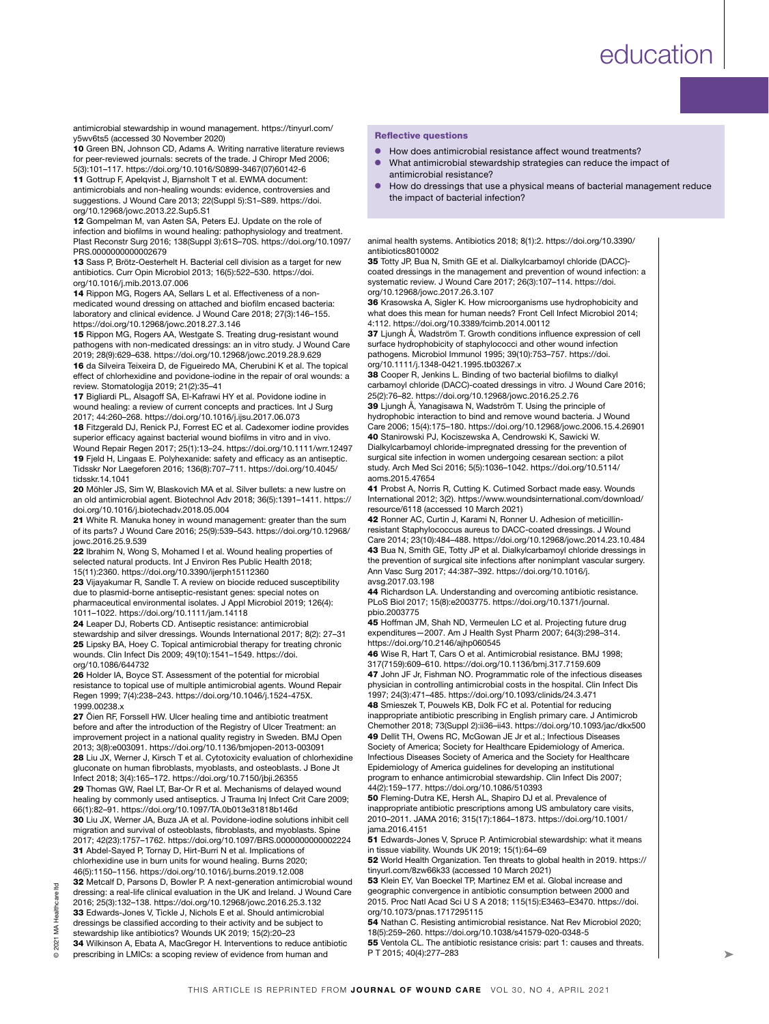antimicrobial stewardship in wound management. https://tinyurl.com/ y5wv6ts5 (accessed 30 November 2020)

10 Green BN, Johnson CD, Adams A. Writing narrative literature reviews for peer-reviewed journals: secrets of the trade. J Chiropr Med 2006; 5(3):101–117. https://doi.org/10.1016/S0899-3467(07)60142-6

11 Gottrup F, Apelqvist J, Bjarnsholt T et al. EWMA document: antimicrobials and non-healing wounds: evidence, controversies and suggestions. J Wound Care 2013; 22(Suppl 5):S1–S89. https://doi. org/10.12968/jowc.2013.22.Sup5.S1

12 Gompelman M, van Asten SA, Peters EJ. Update on the role of infection and biofilms in wound healing: pathophysiology and treatment. Plast Reconstr Surg 2016; 138(Suppl 3):61S–70S. https://doi.org/10.1097/ PRS.0000000000002679

13 Sass P, Brötz-Oesterhelt H. Bacterial cell division as a target for new antibiotics. Curr Opin Microbiol 2013; 16(5):522–530. https://doi. org/10.1016/j.mib.2013.07.006

14 Rippon MG, Rogers AA, Sellars L et al. Effectiveness of a nonmedicated wound dressing on attached and biofilm encased bacteria: laboratory and clinical evidence. J Wound Care 2018; 27(3):146–155. https://doi.org/10.12968/jowc.2018.27.3.146

15 Rippon MG, Rogers AA, Westgate S. Treating drug-resistant wound pathogens with non-medicated dressings: an in vitro study. J Wound Care 2019; 28(9):629–638. https://doi.org/10.12968/jowc.2019.28.9.629

16 da Silveira Teixeira D, de Figueiredo MA, Cherubini K et al. The topical effect of chlorhexidine and povidone-iodine in the repair of oral wounds: a review. Stomatologija 2019; 21(2):35–41

17 Bigliardi PL, Alsagoff SA, El-Kafrawi HY et al. Povidone iodine in wound healing: a review of current concepts and practices. Int J Surg 2017; 44:260–268. https://doi.org/10.1016/j.ijsu.2017.06.073

18 Fitzgerald DJ, Renick PJ, Forrest EC et al. Cadexomer iodine provides superior efficacy against bacterial wound biofilms in vitro and in vivo. Wound Repair Regen 2017; 25(1):13–24. https://doi.org/10.1111/wrr.12497 19 Fjeld H, Lingaas E. Polyhexanide: safety and efficacy as an antiseptic. Tidsskr Nor Laegeforen 2016; 136(8):707–711. https://doi.org/10.4045/ tidsskr.14.1041

20 Möhler JS, Sim W, Blaskovich MA et al. Silver bullets: a new lustre on an old antimicrobial agent. Biotechnol Adv 2018; 36(5):1391–1411. https:// doi.org/10.1016/j.biotechadv.2018.05.004

21 White R. Manuka honey in wound management: greater than the sum of its parts? J Wound Care 2016; 25(9):539–543. https://doi.org/10.12968/ jowc.2016.25.9.539

22 Ibrahim N, Wong S, Mohamed I et al. Wound healing properties of selected natural products. Int J Environ Res Public Health 2018; 15(11):2360. https://doi.org/10.3390/ijerph15112360

23 Vijayakumar R, Sandle T. A review on biocide reduced susceptibility due to plasmid-borne antiseptic-resistant genes: special notes on pharmaceutical environmental isolates. J Appl Microbiol 2019; 126(4): 1011–1022. https://doi.org/10.1111/jam.14118

24 Leaper DJ, Roberts CD. Antiseptic resistance: antimicrobial stewardship and silver dressings. Wounds International 2017; 8(2): 27–31 25 Lipsky BA, Hoey C. Topical antimicrobial therapy for treating chronic wounds. Clin Infect Dis 2009; 49(10):1541–1549. https://doi. org/10.1086/644732

26 Holder IA, Boyce ST. Assessment of the potential for microbial resistance to topical use of multiple antimicrobial agents. Wound Repair Regen 1999; 7(4):238–243. https://doi.org/10.1046/j.1524-475X. 1999.00238.x

27 Öien RF, Forssell HW. Ulcer healing time and antibiotic treatment before and after the introduction of the Registry of Ulcer Treatment: an improvement project in a national quality registry in Sweden. BMJ Open 2013; 3(8):e003091. https://doi.org/10.1136/bmjopen-2013-003091 28 Liu JX, Werner J, Kirsch T et al. Cytotoxicity evaluation of chlorhexidine gluconate on human fibroblasts, myoblasts, and osteoblasts. J Bone Jt Infect 2018; 3(4):165–172. https://doi.org/10.7150/jbji.26355

29 Thomas GW, Rael LT, Bar-Or R et al. Mechanisms of delayed wound healing by commonly used antiseptics. J Trauma Inj Infect Crit Care 2009; 66(1):82–91. https://doi.org/10.1097/TA.0b013e31818b146d

30 Liu JX, Werner JA, Buza JA et al. Povidone-iodine solutions inhibit cell migration and survival of osteoblasts, fibroblasts, and myoblasts. Spine 2017; 42(23):1757–1762. https://doi.org/10.1097/BRS.0000000000002224 31 Abdel-Sayed P, Tornay D, Hirt-Burri N et al. Implications of chlorhexidine use in burn units for wound healing. Burns 2020; 46(5):1150–1156. https://doi.org/10.1016/j.burns.2019.12.008

32 Metcalf D, Parsons D, Bowler P. A next-generation antimicrobial wound dressing: a real-life clinical evaluation in the UK and Ireland. J Wound Care 2016; 25(3):132–138. https://doi.org/10.12968/jowc.2016.25.3.132 33 Edwards-Jones V, Tickle J, Nichols E et al. Should antimicrobial dressings be classified according to their activity and be subject to stewardship like antibiotics? Wounds UK 2019; 15(2):20–23 34 Wilkinson A, Ebata A, MacGregor H. Interventions to reduce antibiotic

prescribing in LMICs: a scoping review of evidence from human and

#### Reflective questions

- How does antimicrobial resistance affect wound treatments?
- What antimicrobial stewardship strategies can reduce the impact of antimicrobial resistance?
- How do dressings that use a physical means of bacterial management reduce the impact of bacterial infection?

animal health systems. Antibiotics 2018; 8(1):2. https://doi.org/10.3390/ antibiotics8010002

35 Totty JP, Bua N, Smith GE et al. Dialkylcarbamoyl chloride (DACC)coated dressings in the management and prevention of wound infection: a systematic review. J Wound Care 2017; 26(3):107–114. https://doi. org/10.12968/jowc.2017.26.3.107

36 Krasowska A, Sigler K. How microorganisms use hydrophobicity and what does this mean for human needs? Front Cell Infect Microbiol 2014; 4:112. https://doi.org/10.3389/fcimb.2014.00112

37 Ljungh Å, Wadström T. Growth conditions influence expression of cell surface hydrophobicity of staphylococci and other wound infection pathogens. Microbiol Immunol 1995; 39(10):753–757. https://doi. org/10.1111/j.1348-0421.1995.tb03267.x

38 Cooper R, Jenkins L. Binding of two bacterial biofilms to dialkyl carbamoyl chloride (DACC)-coated dressings in vitro. J Wound Care 2016; 25(2):76–82. https://doi.org/10.12968/jowc.2016.25.2.76

39 Ljungh Å, Yanagisawa N, Wadström T. Using the principle of hydrophobic interaction to bind and remove wound bacteria. J Wound Care 2006; 15(4):175–180. https://doi.org/10.12968/jowc.2006.15.4.26901 40 Stanirowski PJ, Kociszewska A, Cendrowski K, Sawicki W. Dialkylcarbamoyl chloride-impregnated dressing for the prevention of surgical site infection in women undergoing cesarean section: a pilot

study. Arch Med Sci 2016; 5(5):1036–1042. https://doi.org/10.5114/ aoms.2015.47654 41 Probst A, Norris R, Cutting K. Cutimed Sorbact made easy. Wounds

International 2012; 3(2). https://www.woundsinternational.com/download/ resource/6118 (accessed 10 March 2021)

42 Ronner AC, Curtin J, Karami N, Ronner U. Adhesion of meticillinresistant Staphylococcus aureus to DACC-coated dressings. J Wound Care 2014; 23(10):484–488. https://doi.org/10.12968/jowc.2014.23.10.484 43 Bua N, Smith GE, Totty JP et al. Dialkylcarbamoyl chloride dressings in the prevention of surgical site infections after nonimplant vascular surgery. Ann Vasc Surg 2017; 44:387–392. https://doi.org/10.1016/j. avsg.2017.03.198

44 Richardson LA. Understanding and overcoming antibiotic resistance. PLoS Biol 2017; 15(8):e2003775. https://doi.org/10.1371/journal. pbio.2003775

45 Hoffman JM, Shah ND, Vermeulen LC et al. Projecting future drug expenditures—2007. Am J Health Syst Pharm 2007; 64(3):298–314. https://doi.org/10.2146/ajhp060545

46 Wise R, Hart T, Cars O et al. Antimicrobial resistance. BMJ 1998; 317(7159):609–610. https://doi.org/10.1136/bmj.317.7159.609

47 John JF Jr, Fishman NO. Programmatic role of the infectious diseases physician in controlling antimicrobial costs in the hospital. Clin Infect Dis 1997; 24(3):471–485. https://doi.org/10.1093/clinids/24.3.471

48 Smieszek T, Pouwels KB, Dolk FC et al. Potential for reducing inappropriate antibiotic prescribing in English primary care. J Antimicrob Chemother 2018; 73(Suppl 2):ii36–ii43. https://doi.org/10.1093/jac/dkx500 49 Dellit TH, Owens RC, McGowan JE Jr et al.; Infectious Diseases Society of America; Society for Healthcare Epidemiology of America. Infectious Diseases Society of America and the Society for Healthcare Epidemiology of America guidelines for developing an institutional program to enhance antimicrobial stewardship. Clin Infect Dis 2007; 44(2):159–177. https://doi.org/10.1086/510393

50 Fleming-Dutra KE, Hersh AL, Shapiro DJ et al. Prevalence of inappropriate antibiotic prescriptions among US ambulatory care visits, 2010–2011. JAMA 2016; 315(17):1864–1873. https://doi.org/10.1001/ jama.2016.4151

51 Edwards-Jones V, Spruce P. Antimicrobial stewardship: what it means in tissue viability. Wounds UK 2019; 15(1):64–69

52 World Health Organization. Ten threats to global health in 2019. https:// tinyurl.com/8zw66k33 (accessed 10 March 2021)

53 Klein EY, Van Boeckel TP, Martinez EM et al. Global increase and geographic convergence in antibiotic consumption between 2000 and 2015. Proc Natl Acad Sci U S A 2018; 115(15):E3463–E3470. https://doi. org/10.1073/pnas.1717295115

54 Nathan C. Resisting antimicrobial resistance. Nat Rev Microbiol 2020; 18(5):259–260. https://doi.org/10.1038/s41579-020-0348-5

55 Ventola CL. The antibiotic resistance crisis: part 1: causes and threats. P T 2015; 40(4):277–283

Į.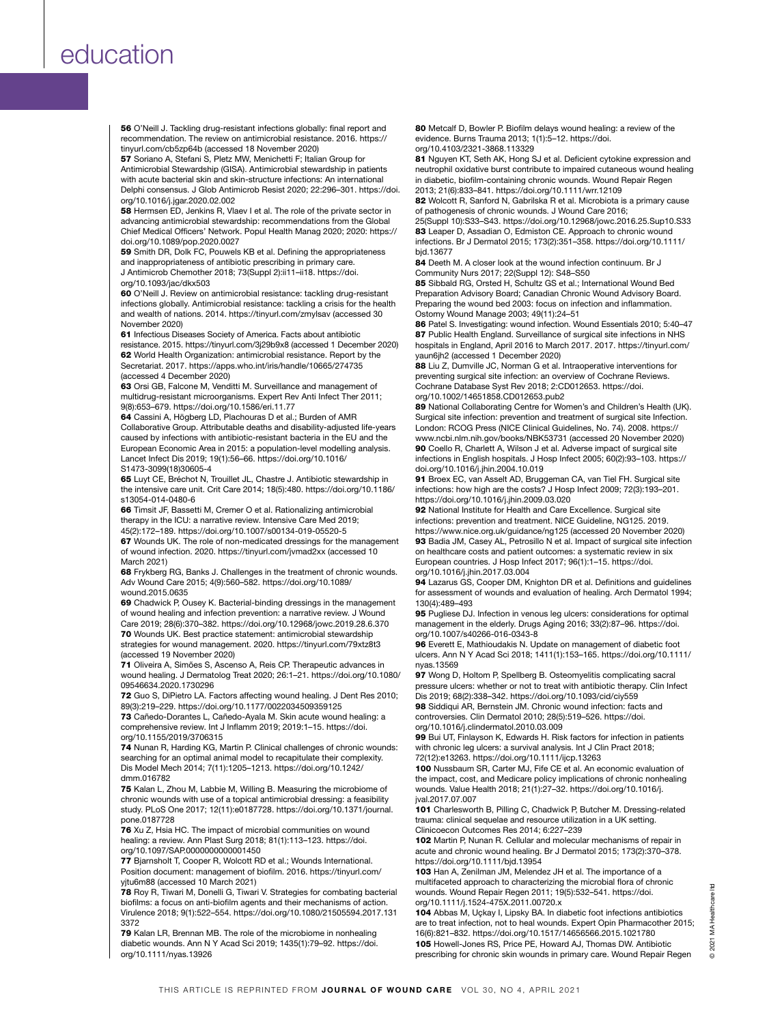56 O'Neill J. Tackling drug-resistant infections globally: final report and recommendation. The review on antimicrobial resistance. 2016. https:// tinyurl.com/cb5zp64b (accessed 18 November 2020)

57 Soriano A, Stefani S, Pletz MW, Menichetti F; Italian Group for Antimicrobial Stewardship (GISA). Antimicrobial stewardship in patients with acute bacterial skin and skin-structure infections: An international Delphi consensus. J Glob Antimicrob Resist 2020; 22:296–301. https://doi. org/10.1016/j.jgar.2020.02.002

58 Hermsen ED, Jenkins R, Vlaev I et al. The role of the private sector in advancing antimicrobial stewardship: recommendations from the Global Chief Medical Officers' Network. Popul Health Manag 2020; 2020: https:// doi.org/10.1089/pop.2020.0027

59 Smith DR, Dolk FC, Pouwels KB et al. Defining the appropriateness and inappropriateness of antibiotic prescribing in primary care. J Antimicrob Chemother 2018; 73(Suppl 2):ii11–ii18. https://doi. org/10.1093/jac/dkx503

60 O'Neill J. Review on antimicrobial resistance: tackling drug-resistant infections globally. Antimicrobial resistance: tackling a crisis for the health and wealth of nations. 2014. https://tinyurl.com/zmylsav (accessed 30 November 2020)

61 Infectious Diseases Society of America. Facts about antibiotic resistance. 2015. https://tinyurl.com/3j29b9x8 (accessed 1 December 2020) 62 World Health Organization: antimicrobial resistance. Report by the Secretariat. 2017. https://apps.who.int/iris/handle/10665/274735 (accessed 4 December 2020)

63 Orsi GB, Falcone M, Venditti M. Surveillance and management of multidrug-resistant microorganisms. Expert Rev Anti Infect Ther 2011; 9(8):653–679. https://doi.org/10.1586/eri.11.77

64 Cassini A, Högberg LD, Plachouras D et al.; Burden of AMR Collaborative Group. Attributable deaths and disability-adjusted life-years caused by infections with antibiotic-resistant bacteria in the EU and the European Economic Area in 2015: a population-level modelling analysis. Lancet Infect Dis 2019; 19(1):56–66. https://doi.org/10.1016/ S1473-3099(18)30605-4

65 Luyt CE, Bréchot N, Trouillet JL, Chastre J. Antibiotic stewardship in the intensive care unit. Crit Care 2014; 18(5):480. https://doi.org/10.1186/ s13054-014-0480-6

66 Timsit JF, Bassetti M, Cremer O et al. Rationalizing antimicrobial therapy in the ICU: a narrative review. Intensive Care Med 2019; 45(2):172–189. https://doi.org/10.1007/s00134-019-05520-5

67 Wounds UK. The role of non-medicated dressings for the management of wound infection. 2020. https://tinyurl.com/jvmad2xx (accessed 10 March 2021)

68 Frykberg RG, Banks J. Challenges in the treatment of chronic wounds. Adv Wound Care 2015; 4(9):560–582. https://doi.org/10.1089/ wound.2015.0635

69 Chadwick P, Ousey K. Bacterial-binding dressings in the management of wound healing and infection prevention: a narrative review. J Wound Care 2019; 28(6):370–382. https://doi.org/10.12968/jowc.2019.28.6.370 70 Wounds UK. Best practice statement: antimicrobial stewardship strategies for wound management. 2020. https://tinyurl.com/79xtz8t3 (accessed 19 November 2020)

71 Oliveira A, Simões S, Ascenso A, Reis CP. Therapeutic advances in wound healing. J Dermatolog Treat 2020; 26:1–21. https://doi.org/10.1080/ 09546634.2020.1730296

72 Guo S, DiPietro LA. Factors affecting wound healing. J Dent Res 2010; 89(3):219–229. https://doi.org/10.1177/0022034509359125

73 Cañedo-Dorantes L, Cañedo-Ayala M. Skin acute wound healing: a comprehensive review. Int J Inflamm 2019; 2019:1–15. https://doi. org/10.1155/2019/3706315

74 Nunan R, Harding KG, Martin P. Clinical challenges of chronic wounds: searching for an optimal animal model to recapitulate their complexity. Dis Model Mech 2014; 7(11):1205–1213. https://doi.org/10.1242/ dmm.016782

75 Kalan L, Zhou M, Labbie M, Willing B. Measuring the microbiome of chronic wounds with use of a topical antimicrobial dressing: a feasibility study. PLoS One 2017; 12(11):e0187728. https://doi.org/10.1371/journal. pone.0187728

76 Xu Z, Hsia HC. The impact of microbial communities on wound healing: a review. Ann Plast Surg 2018; 81(1):113–123. https://doi. org/10.1097/SAP.0000000000001450

77 Biarnsholt T, Cooper R, Wolcott RD et al.; Wounds International. Position document: management of biofilm. 2016. https://tinyurl.com/ yjtu6m88 (accessed 10 March 2021)

78 Roy R, Tiwari M, Donelli G, Tiwari V. Strategies for combating bacterial biofilms: a focus on anti-biofilm agents and their mechanisms of action. Virulence 2018; 9(1):522–554. https://doi.org/10.1080/21505594.2017.131 3372

79 Kalan LR, Brennan MB. The role of the microbiome in nonhealing diabetic wounds. Ann N Y Acad Sci 2019; 1435(1):79–92. https://doi. org/10.1111/nyas.13926

80 Metcalf D, Bowler P. Biofilm delays wound healing: a review of the evidence. Burns Trauma 2013; 1(1):5–12. https://doi. org/10.4103/2321-3868.113329

81 Nguyen KT, Seth AK, Hong SJ et al. Deficient cytokine expression and neutrophil oxidative burst contribute to impaired cutaneous wound healing in diabetic, biofilm-containing chronic wounds. Wound Repair Regen 2013; 21(6):833–841. https://doi.org/10.1111/wrr.12109

82 Wolcott R, Sanford N, Gabrilska R et al. Microbiota is a primary cause of pathogenesis of chronic wounds. J Wound Care 2016;

25(Suppl 10):S33–S43. https://doi.org/10.12968/jowc.2016.25.Sup10.S33 83 Leaper D, Assadian O, Edmiston CE. Approach to chronic wound infections. Br J Dermatol 2015; 173(2):351–358. https://doi.org/10.1111/ bjd.13677

84 Deeth M. A closer look at the wound infection continuum. Br J Community Nurs 2017; 22(Suppl 12): S48–S50

85 Sibbald RG, Orsted H, Schultz GS et al.; International Wound Bed Preparation Advisory Board; Canadian Chronic Wound Advisory Board. Preparing the wound bed 2003: focus on infection and inflammation. Ostomy Wound Manage 2003; 49(11):24–51

86 Patel S. Investigating: wound infection. Wound Essentials 2010; 5:40–47 87 Public Health England. Surveillance of surgical site infections in NHS hospitals in England, April 2016 to March 2017. 2017. https://tinyurl.com/ yaun6jh2 (accessed 1 December 2020)

88 Liu Z, Dumville JC, Norman G et al. Intraoperative interventions for preventing surgical site infection: an overview of Cochrane Reviews. Cochrane Database Syst Rev 2018; 2:CD012653. https://doi. org/10.1002/14651858.CD012653.pub2

89 National Collaborating Centre for Women's and Children's Health (UK). Surgical site infection: prevention and treatment of surgical site Infection. London: RCOG Press (NICE Clinical Guidelines, No. 74). 2008. https:// www.ncbi.nlm.nih.gov/books/NBK53731 (accessed 20 November 2020) 90 Coello R, Charlett A, Wilson J et al. Adverse impact of surgical site infections in English hospitals. J Hosp Infect 2005; 60(2):93–103. https:// doi.org/10.1016/j.jhin.2004.10.019

91 Broex EC, van Asselt AD, Bruggeman CA, van Tiel FH. Surgical site infections: how high are the costs? J Hosp Infect 2009; 72(3):193–201. https://doi.org/10.1016/j.jhin.2009.03.020

92 National Institute for Health and Care Excellence. Surgical site infections: prevention and treatment. NICE Guideline, NG125. 2019. https://www.nice.org.uk/guidance/ng125 (accessed 20 November 2020) 93 Badia JM, Casey AL, Petrosillo N et al. Impact of surgical site infection on healthcare costs and patient outcomes: a systematic review in six European countries. J Hosp Infect 2017; 96(1):1–15. https://doi. org/10.1016/j.jhin.2017.03.004

94 Lazarus GS, Cooper DM, Knighton DR et al. Definitions and guidelines for assessment of wounds and evaluation of healing. Arch Dermatol 1994; 130(4):489–493

95 Pugliese DJ. Infection in venous leg ulcers: considerations for optimal management in the elderly. Drugs Aging 2016; 33(2):87–96. https://doi. org/10.1007/s40266-016-0343-8

96 Everett E, Mathioudakis N. Update on management of diabetic foot ulcers. Ann N Y Acad Sci 2018; 1411(1):153–165. https://doi.org/10.1111/ nyas.13569

97 Wong D, Holtom P, Spellberg B. Osteomyelitis complicating sacral pressure ulcers: whether or not to treat with antibiotic therapy. Clin Infect Dis 2019; 68(2):338–342. https://doi.org/10.1093/cid/ciy559

98 Siddiqui AR, Bernstein JM. Chronic wound infection: facts and controversies. Clin Dermatol 2010; 28(5):519–526. https://doi. org/10.1016/j.clindermatol.2010.03.009

99 Bui UT, Finlayson K, Edwards H. Risk factors for infection in patients with chronic leg ulcers: a survival analysis. Int J Clin Pract 2018; 72(12):e13263. https://doi.org/10.1111/ijcp.13263

100 Nussbaum SR, Carter MJ, Fife CE et al. An economic evaluation of the impact, cost, and Medicare policy implications of chronic nonhealing wounds. Value Health 2018; 21(1):27–32. https://doi.org/10.1016/j. jval.2017.07.007

101 Charlesworth B, Pilling C, Chadwick P, Butcher M. Dressing-related trauma: clinical sequelae and resource utilization in a UK setting. Clinicoecon Outcomes Res 2014; 6:227–239

102 Martin P, Nunan R. Cellular and molecular mechanisms of repair in acute and chronic wound healing. Br J Dermatol 2015; 173(2):370–378. https://doi.org/10.1111/bjd.13954

103 Han A, Zenilman JM, Melendez JH et al. The importance of a multifaceted approach to characterizing the microbial flora of chronic wounds. Wound Repair Regen 2011; 19(5):532–541. https://doi. org/10.1111/j.1524-475X.2011.00720.x

104 Abbas M, Uçkay I, Lipsky BA. In diabetic foot infections antibiotics are to treat infection, not to heal wounds. Expert Opin Pharmacother 2015; 16(6):821–832. https://doi.org/10.1517/14656566.2015.1021780 105 Howell-Jones RS, Price PE, Howard AJ, Thomas DW. Antibiotic prescribing for chronic skin wounds in primary care. Wound Repair Regen

 $\frac{1}{2}$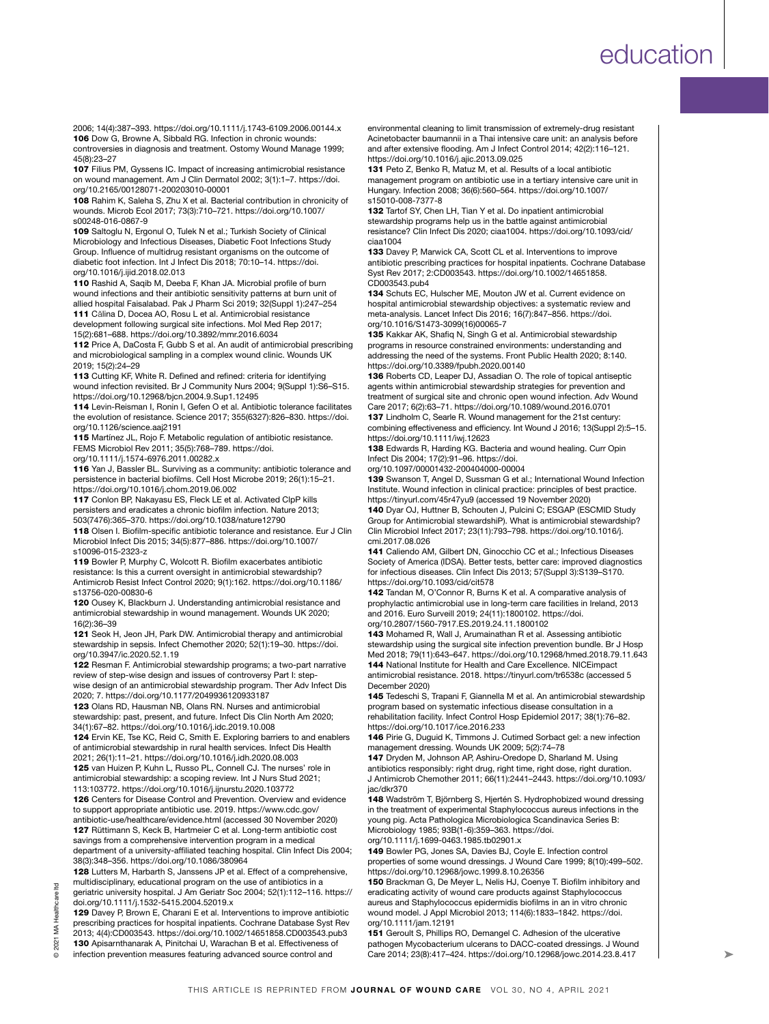2006; 14(4):387–393. https://doi.org/10.1111/j.1743-6109.2006.00144.x 106 Dow G, Browne A, Sibbald RG. Infection in chronic wounds: controversies in diagnosis and treatment. Ostomy Wound Manage 1999; 45(8):23–27

107 Filius PM, Gyssens IC. Impact of increasing antimicrobial resistance on wound management. Am J Clin Dermatol 2002; 3(1):1–7. https://doi. org/10.2165/00128071-200203010-00001

108 Rahim K, Saleha S, Zhu X et al. Bacterial contribution in chronicity of wounds. Microb Ecol 2017; 73(3):710–721. https://doi.org/10.1007/ s00248-016-0867-9

109 Saltoglu N, Ergonul O, Tulek N et al.; Turkish Society of Clinical Microbiology and Infectious Diseases, Diabetic Foot Infections Study Group. Influence of multidrug resistant organisms on the outcome of diabetic foot infection. Int J Infect Dis 2018; 70:10–14. https://doi. org/10.1016/j.ijid.2018.02.013

110 Rashid A, Saqib M, Deeba F, Khan JA. Microbial profile of burn wound infections and their antibiotic sensitivity patterns at burn unit of allied hospital Faisalabad. Pak J Pharm Sci 2019; 32(Suppl 1):247–254 111 Călina D, Docea AO, Rosu L et al. Antimicrobial resistance development following surgical site infections. Mol Med Rep 2017;

15(2):681–688. https://doi.org/10.3892/mmr.2016.6034

112 Price A, DaCosta F, Gubb S et al. An audit of antimicrobial prescribing and microbiological sampling in a complex wound clinic. Wounds UK 2019; 15(2):24–29

113 Cutting KF, White R. Defined and refined: criteria for identifying wound infection revisited. Br J Community Nurs 2004; 9(Suppl 1):S6–S15. https://doi.org/10.12968/bjcn.2004.9.Sup1.12495

114 Levin-Reisman I, Ronin I, Gefen O et al. Antibiotic tolerance facilitates the evolution of resistance. Science 2017; 355(6327):826–830. https://doi. org/10.1126/science.aaj2191

115 Martínez JL, Rojo F. Metabolic regulation of antibiotic resistance. FEMS Microbiol Rev 2011; 35(5):768–789. https://doi. org/10.1111/j.1574-6976.2011.00282.x

116 Yan J, Bassler BL. Surviving as a community: antibiotic tolerance and persistence in bacterial biofilms. Cell Host Microbe 2019; 26(1):15–21. https://doi.org/10.1016/j.chom.2019.06.002

117 Conlon BP, Nakayasu ES, Fleck LE et al. Activated ClpP kills persisters and eradicates a chronic biofilm infection. Nature 2013; 503(7476):365–370. https://doi.org/10.1038/nature12790

118 Olsen I. Biofilm-specific antibiotic tolerance and resistance. Eur J Clin Microbiol Infect Dis 2015; 34(5):877–886. https://doi.org/10.1007/ s10096-015-2323-z

119 Bowler P, Murphy C, Wolcott R. Biofilm exacerbates antibiotic resistance: Is this a current oversight in antimicrobial stewardship? Antimicrob Resist Infect Control 2020; 9(1):162. https://doi.org/10.1186/ s13756-020-00830-6

120 Ousey K, Blackburn J. Understanding antimicrobial resistance and antimicrobial stewardship in wound management. Wounds UK 2020; 16(2):36–39

121 Seok H, Jeon JH, Park DW. Antimicrobial therapy and antimicrobial stewardship in sepsis. Infect Chemother 2020; 52(1):19–30. https://doi. org/10.3947/ic.2020.52.1.19

122 Resman F. Antimicrobial stewardship programs; a two-part narrative review of step-wise design and issues of controversy Part I: stepwise design of an antimicrobial stewardship program. Ther Adv Infect Dis 2020; 7. https://doi.org/10.1177/2049936120933187

123 Olans RD, Hausman NB, Olans RN. Nurses and antimicrobial stewardship: past, present, and future. Infect Dis Clin North Am 2020; 34(1):67–82. https://doi.org/10.1016/j.idc.2019.10.008

124 Ervin KE, Tse KC, Reid C, Smith E. Exploring barriers to and enablers of antimicrobial stewardship in rural health services. Infect Dis Health 2021; 26(1):11–21. https://doi.org/10.1016/j.idh.2020.08.003 125 van Huizen P, Kuhn L, Russo PL, Connell CJ. The nurses' role in

antimicrobial stewardship: a scoping review. Int J Nurs Stud 2021; 113:103772. https://doi.org/10.1016/j.ijnurstu.2020.103772 126 Centers for Disease Control and Prevention. Overview and evidence

to support appropriate antibiotic use. 2019. https://www.cdc.gov/ antibiotic-use/healthcare/evidence.html (accessed 30 November 2020) 127 Rüttimann S, Keck B, Hartmeier C et al. Long-term antibiotic cost savings from a comprehensive intervention program in a medical department of a university-affiliated teaching hospital. Clin Infect Dis 2004; 38(3):348–356. https://doi.org/10.1086/380964

128 Lutters M, Harbarth S, Janssens JP et al. Effect of a comprehensive, multidisciplinary, educational program on the use of antibiotics in a geriatric university hospital. J Am Geriatr Soc 2004; 52(1):112–116. https:// doi.org/10.1111/j.1532-5415.2004.52019.x

129 Davey P, Brown E, Charani E et al. Interventions to improve antibiotic prescribing practices for hospital inpatients. Cochrane Database Syst Rev 2013; 4(4):CD003543. https://doi.org/10.1002/14651858.CD003543.pub3 130 Apisarnthanarak A, Pinitchai U, Warachan B et al. Effectiveness of

infection prevention measures featuring advanced source control and

environmental cleaning to limit transmission of extremely-drug resistant Acinetobacter baumannii in a Thai intensive care unit: an analysis before and after extensive flooding. Am J Infect Control 2014; 42(2):116–121. https://doi.org/10.1016/j.ajic.2013.09.025

131 Peto Z, Benko R, Matuz M, et al. Results of a local antibiotic management program on antibiotic use in a tertiary intensive care unit in Hungary. Infection 2008; 36(6):560–564. https://doi.org/10.1007/ s15010-008-7377-8

132 Tartof SY, Chen LH, Tian Y et al. Do inpatient antimicrobial stewardship programs help us in the battle against antimicrobial resistance? Clin Infect Dis 2020; ciaa1004. https://doi.org/10.1093/cid/ ciaa1004

133 Davey P, Marwick CA, Scott CL et al. Interventions to improve antibiotic prescribing practices for hospital inpatients. Cochrane Database Syst Rev 2017; 2:CD003543. https://doi.org/10.1002/14651858. CD003543.pub4

134 Schuts EC, Hulscher ME, Mouton JW et al. Current evidence on hospital antimicrobial stewardship objectives: a systematic review and meta-analysis. Lancet Infect Dis 2016; 16(7):847–856. https://doi. org/10.1016/S1473-3099(16)00065-7

135 Kakkar AK, Shafiq N, Singh G et al. Antimicrobial stewardship programs in resource constrained environments: understanding and addressing the need of the systems. Front Public Health 2020; 8:140. https://doi.org/10.3389/fpubh.2020.00140

136 Roberts CD, Leaper DJ, Assadian O. The role of topical antiseptic agents within antimicrobial stewardship strategies for prevention and treatment of surgical site and chronic open wound infection. Adv Wound Care 2017; 6(2):63–71. https://doi.org/10.1089/wound.2016.0701

137 Lindholm C, Searle R. Wound management for the 21st century: combining effectiveness and efficiency. Int Wound J 2016; 13(Suppl 2):5–15. https://doi.org/10.1111/iwj.12623

138 Edwards R, Harding KG. Bacteria and wound healing. Curr Opin Infect Dis 2004; 17(2):91–96. https://doi.

org/10.1097/00001432-200404000-00004

139 Swanson T, Angel D, Sussman G et al.; International Wound Infection Institute. Wound infection in clinical practice: principles of best practice. https://tinyurl.com/45r47yu9 (accessed 19 November 2020)

140 Dyar OJ, Huttner B, Schouten J, Pulcini C; ESGAP (ESCMID Study Group for Antimicrobial stewardshiP). What is antimicrobial stewardship? Clin Microbiol Infect 2017; 23(11):793–798. https://doi.org/10.1016/j. cmi.2017.08.026

141 Caliendo AM, Gilbert DN, Ginocchio CC et al.; Infectious Diseases Society of America (IDSA). Better tests, better care: improved diagnostics for infectious diseases. Clin Infect Dis 2013; 57(Suppl 3):S139–S170. https://doi.org/10.1093/cid/cit578

142 Tandan M, O'Connor R, Burns K et al. A comparative analysis of prophylactic antimicrobial use in long-term care facilities in Ireland, 2013 and 2016. Euro Surveill 2019; 24(11):1800102. https://doi. org/10.2807/1560-7917.ES.2019.24.11.1800102

143 Mohamed R, Wall J, Arumainathan R et al. Assessing antibiotic stewardship using the surgical site infection prevention bundle. Br J Hosp Med 2018; 79(11):643–647. https://doi.org/10.12968/hmed.2018.79.11.643 144 National Institute for Health and Care Excellence. NICEimpact

antimicrobial resistance. 2018. https://tinyurl.com/tr6538c (accessed 5 December 2020) 145 Tedeschi S, Trapani F, Giannella M et al. An antimicrobial stewardship

program based on systematic infectious disease consultation in a rehabilitation facility. Infect Control Hosp Epidemiol 2017; 38(1):76–82. https://doi.org/10.1017/ice.2016.233

146 Pirie G, Duguid K, Timmons J. Cutimed Sorbact gel: a new infection management dressing. Wounds UK 2009; 5(2):74–78

147 Dryden M, Johnson AP, Ashiru-Oredope D, Sharland M. Using antibiotics responsibly: right drug, right time, right dose, right duration. J Antimicrob Chemother 2011; 66(11):2441–2443. https://doi.org/10.1093/ jac/dkr370

148 Wadström T, Björnberg S, Hjertén S. Hydrophobized wound dressing in the treatment of experimental Staphylococcus aureus infections in the young pig. Acta Pathologica Microbiologica Scandinavica Series B: Microbiology 1985; 93B(1-6):359–363. https://doi.

org/10.1111/j.1699-0463.1985.tb02901.x

149 Bowler PG, Jones SA, Davies BJ, Coyle E. Infection control properties of some wound dressings. J Wound Care 1999; 8(10):499–502. https://doi.org/10.12968/jowc.1999.8.10.26356

150 Brackman G, De Meyer L, Nelis HJ, Coenye T. Biofilm inhibitory and eradicating activity of wound care products against Staphylococcus aureus and Staphylococcus epidermidis biofilms in an in vitro chronic wound model. J Appl Microbiol 2013; 114(6):1833–1842. https://doi. org/10.1111/jam.12191

151 Geroult S, Phillips RO, Demangel C. Adhesion of the ulcerative pathogen Mycobacterium ulcerans to DACC-coated dressings. J Wound Care 2014; 23(8):417–424. https://doi.org/10.12968/jowc.2014.23.8.417

 $\overline{c}$